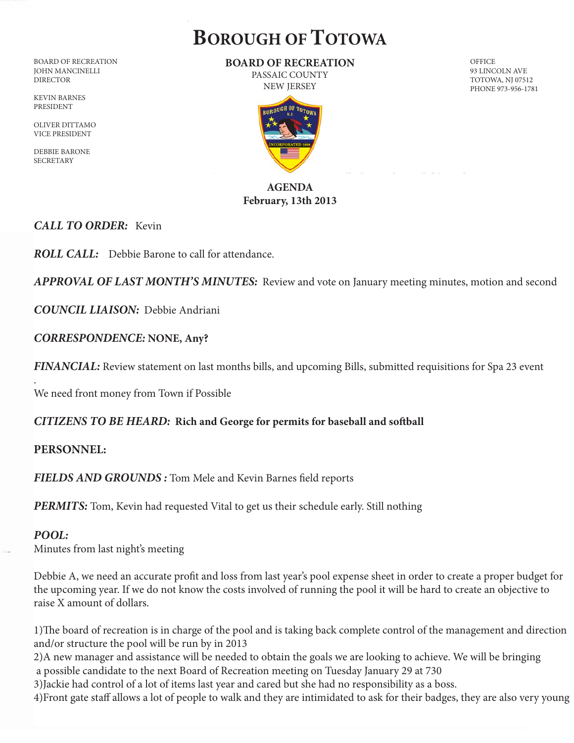# **BOROUGH OF TOTOWA**

BOARD OF RECREATION JOHN MANCINELLI DIRECTOR

KEVIN BARNES PRESIDENT

OLIVER DITTAMO VICE PRESIDENT

DEBBIE BARONE **SECRETARY** 

**BOARD OF RECREATION** PASSAIC COUNTY

**OFFICE** 

93 LINCOLN AVE TOTOWA, NJ 07512 PHONE 973-956-1781

NEW JERSEY

# **AGENDA February, 13th 2013**

## *CALL TO ORDER:* Kevin

*ROLL CALL:* Debbie Barone to call for attendance.

*APPROVAL OF LAST MONTH'S MINUTES:* Review and vote on January meeting minutes, motion and second

*COUNCIL LIAISON:* Debbie Andriani

## *CORRESPONDENCE:* **NONE, Any?**

*FINANCIAL:* Review statement on last months bills, and upcoming Bills, submitted requisitions for Spa 23 event

We need front money from Town if Possible

#### *CITIZENS TO BE HEARD:* **Rich and George for permits for baseball and soft ball**

#### **PERSONNEL:**

*FIELDS AND GROUNDS :* Tom Mele and Kevin Barnes field reports

**PERMITS:** Tom, Kevin had requested Vital to get us their schedule early. Still nothing

#### *POOL:*

.

Minutes from last night's meeting

Debbie A, we need an accurate profit and loss from last year's pool expense sheet in order to create a proper budget for the upcoming year. If we do not know the costs involved of running the pool it will be hard to create an objective to raise X amount of dollars.

1)The board of recreation is in charge of the pool and is taking back complete control of the management and direction and/or structure the pool will be run by in 2013

2)A new manager and assistance will be needed to obtain the goals we are looking to achieve. We will be bringing a possible candidate to the next Board of Recreation meeting on Tuesday January 29 at 730

3)Jackie had control of a lot of items last year and cared but she had no responsibility as a boss.

4)Front gate staff allows a lot of people to walk and they are intimidated to ask for their badges, they are also very young